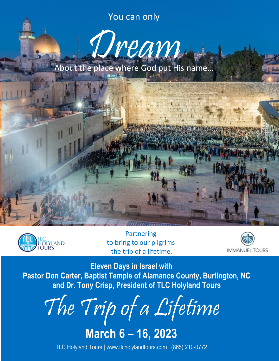You can only



About the place where God put His name…



Partnering to bring to our pilgrims the trip of a lifetime.



**Eleven Days in Israel with Pastor Don Carter, Baptist Temple of Alamance County, Burlington, NC and Dr. Tony Crisp, President of TLC Holyland Tours**

The Trip of a Lifetime

**March 6 – 16, 2023**

TLC Holyland Tours | [www.tlcholylandtours.com](http://www.tlcholylandtours.com/) | (865) 210-0772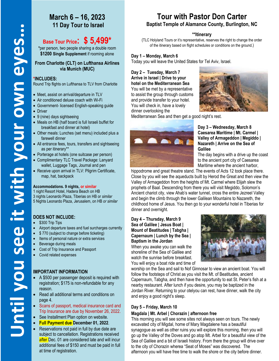# **March 6 – 16, 2023 11 Day Tour to Israel**

# **Base Tour Price: \$ 5,499\***

**\***per person, two people sharing a double room **\$1200 Single Supplement** if rooming alone

#### **From Charlotte (CLT) on Lufthansa Airlines via Munich (MUC)**

#### **\*INCLUDES:**

Round Trip flights on Lufthansa to TLV from Charlotte

- Meet, assist on arrival/departure in TLV
- Air conditioned deluxe coach with Wi-Fi
- Government- licensed English-speaking guide
- Driver
- 9 (nine) days sightseeing
- Meals on HB (half board is full Israeli buffet for breakfast and dinner at hotel)
- Other meals: Lunches (set menu) included plus a farewell dinner
- All entrance fees, tours, transfers and sightseeing as per itinerary\*\*
- Porterage at hotels (one suitcase per person)
- Complimentary TLC Travel Package: Lanyard wallet, Luggage Tags, Journal and pen
- Receive upon arrival in TLV: Pilgrim Certificate, map, hat, backpack

#### **Accommodations. 9 nights, or similar**

1 night Resort Hotel, Hadera Beach on HB 3 nights Leonardo Plaza, Tiberias on HB or *similar* 5 Nights Leonardo Plaza, Jerusalem, on HB *or similar*

# **DOES NOT INCLUDE:**

- \$300 Trip Tips
- Airport departure taxes and fuel surcharges currently
- \$ 770 (subject to change before ticketing)
- Items of personal nature or extra services
- Beverage during meals
- Cost of Trip Insurance and Passport
- Covid related expenses

## **IMPORTANT INFORMATION**

- A \$500 per passenger deposit is required with registration; \$175 is non-refundable for any reason.
- Read all additional terms and conditions on page 4.
- Scans of passport, medical insurance card and Trip Insurance are due by November 26, 2022.
- See Installment Plan option on website.
- **Full Payment due December 01, 2022**.
- Reservations not paid in full by due date are subject to cancellation. Registrations received after Dec. 01 are considered late and will incur additional fees of \$150 and must be paid in full at time of registration.

# **Tour with Pastor Don Carter Baptist Temple of Alamance County, Burlington, NC**

#### **\*\*Itinerary**

(TLC Holyland Tours or it's representative, reserves the right to change the order of the itinerary based on flight schedules or conditions on the ground.)

**Day 1 – Monday, March 6** Today you will leave the United States for Tel Aviv, Israel.

**Day 2 – Tuesday, March 7 Arrive in Israel | Drive to your hotel on the Mediterranean Sea** You will be met by a representative to assist the group through customs and provide transfer to your hotel. You will check in, have a lovely dinner overlooking the



Mediterranean Sea and then get a good night's rest.



#### **Day 3 – Wednesday, March 8 Caesarea Maritime | Mt. Carmel | Valley of Armageddon | Megiddo | Nazareth | Arrive on the Sea of Galilee**

The day begins with a drive up the coast to the ancient port city of Caesarea Maritime where the ancient harbor,

hippodrome and great theatre stand. The events of Acts 12 took place there. Close by you will see the aqueducts built by Herod the Great and then view the Valley of Armageddon from the heights of Mt. Carmel where Elijah slew the prophets of Baal. Descending from there you will visit Megiddo, Solomon's Ancient chariot city, view Ahab's water tunnel, cross the entire Jezreel Valley and begin the climb through the lower Galilean Mountains to Nazareth, the childhood home of Jesus. You then go to your wonderful hotel in Tiberias for dinner and overnight.

#### **Day 4 – Thursday, March 9 Sea of Galilee | Jesus Boat | Mount of Beatitudes | Tabgha | Capernaum | Lunch by the Sea | Baptism in the Jordan**

When you awake you can walk the shoreline of the Sea of Galilee and watch the sunrise before breakfast. You will enjoy a boat ride and time of



worship on the Sea and sail to Nof Ginnosar to view an ancient boat. You will follow the footsteps of Christ as you visit the Mt. of Beatitudes, ancient Capernaum, Tabgha, and then have the opportunity to eat St. Peter's fish at a nearby restaurant. After lunch if you desire, you may be baptized in the Jordan River. Returning to your otelyou can rest, have dinner, walk the city and enjoy a good night's sleep.

## **Day 5 – Friday, March 10**

#### **Magdala | Mt. Arbel | Chorazin | afternoon free**

This morning you will see some sites not always seen on tours. The newly excavated city of Migdal, home of Mary Magdalene has a beautiful synagogue as well as other ruins you will explore this morning, then you will go up the Valley of the Doves and go atop Mt. Arbel for a beautiful view of the Sea of Galilee and a bit of Israeli history. From there the group will drive over to the city of Chorazin wherea "Seat of Moses" was discovered. The afternoon you will have free time to walk the shore or the city before dinner.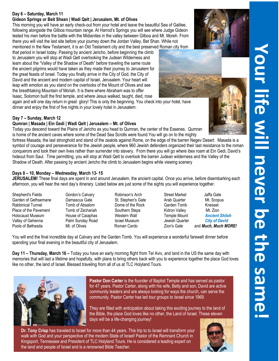# **Day 6 – Saturday, March 11**

#### **Gideon Springs or Beit Shean | Wadi Qelt | Jerusalem, Mt. of Olives**

This morning you will have an early check-out from your hotel and leave the beautiful Sea of Galilee, following alongside the Gilboa mountain range. At Harrod's Springs you will see where Judge Gideon tested his men before the battle with the Midianites in the valley between Gilboa and Mt. Moreh. From there you will visit the last site before your journey down the Jordan Valley, Bet Shan. While not mentioned in the New Testament, it is an Old Testament city and the best preserved Roman city from

that period in Israel today. Passing by ancient Jericho, before beginning the climb to Jerusalem you will stop at Wadi Qelt overlooking the Judean Wilderness and learn about the "Valley of the Shadow of Death" before traveling the same route the ancient pilgrims would have taken as they made their journey to Jerusalem for the great feasts of Israel. Today you finally arrive in the City of God, the City of David and the ancient and modern capital of Israel, Jerusalem. Your heart will leap with emotion as you stand on the overlooks of the Mount of Olives and see the breathtaking Mountain of Moriah. It is there where Abraham was to offer Isaac, Solomon built the first temple, and where Jesus walked, taught, died, rose

again and will one day return in great glory! This is only the beginning. You check into your hotel, have dinner and enjoy the first of five nights in your lovely hotel in Jerusalem.

### **Day 7 – Sunday, March 12**

#### **Qumran | Masada | Ein Gedi | Wadi Qelt | Jerusalem – Mt. of Olives**

Today you descend toward the Plains of Jericho as you head to Qumran, the center of the Essenes. Qumran is home of the ancient caves where some of the Dead Sea Scrolls were found.You will go on to the mighty

fortress Masada, the last stronghold and stand of the zealots against Rome, on the edge of the barren Negev Desert. Masada is a symbol of courage and perseverance for the Jewish people, where 960 Jewish defenders organized their last resistance to the roman conquerors and took their own lives rather than surrender into slavery. From there you will go where ibex roam at Ein Gedi, David's hideout from Saul. Time permitting, you will stop at Wadi Qelt to overlook the barren Judean wilderness and the Valley of the Shadow of Death. After passing by ancient Jericho the climb to Jerusalem begins while viewing scenery

#### **Days 8 – 10, Monday – Wednesday, March 13- 15**

**JERUSALEM!** These final days are spent in and around Jerusalem, the ancient capital. Once you arrive, before disembarking each afternoon, you will hear the next day's itinerary. Listed below are just some of the sights you will experience together.

- Shepherd's Fields **Gordon's Calvary Contained Business** Robinson's Arch Street Market Jaffa Gate Garden of Gethsemane Damascus Gate St. Stephen's Gate Arab Quarter Mt. Scopus Rabbinical Tunnel Tomb of Absalom Dome of the Rock Garden Tomb Knesset Place of the Pavement Tomb of Zechariah Southern Steps Kidron Valley Mt. Zion Holocaust Museum House of Caiaphas Western Wall Temple Mount *Ancient Shiloh* Valley of Gehenna Palm Sunday Road Israel Museum Jewish Quarter *City of David* Pools of Bethesda Mt. of Olives Roman Cardo Zion's Gate and **Much, Much MORE! Nuch ADRE!**
- 
- 
- 

You will end the final incredible day at Calvary and the Garden Tomb. You will experience a wonderful farewell dinner before spending your final evening in the beautiful city of Jerusalem.

**Day 11 – Thursday, March 16 –** Today you have an early morning flight from Tel Aviv, and land in the US the same day with memories that will last a lifetime and hopefully, with plans to bring others back with you to experience together the place God loves like no other, the land of Israel. Blessed traveling from all of us at TLC Holyland Tours.



**Pastor Don Carter** is the founder of Baptist Temple and has served as pastor for 47 years. Pastor Carter, along with his wife, Betty and son, David are active community leaders and are always looking for ways the church, can serve the community. Pastor Carter has led tour groups to Israel since 1969.

They are filled with anticipation about taking this exciting journey to the land of the Bible, the place God loves like no other, the Land of Israel. These eleven days will be a life-changing journey!

**Dr. Tony Crisp** has traveled to Israel for more than 44 years. This trip to to Israel will transform your walk with God and your perspective of the modern State of Israel! Pastor of the Remnant Church in Kingsport, Tennessee and President of TLC Holyland Tours. He is considered a leading expert on the land and people of Israel and is a renowned Bible Teacher.